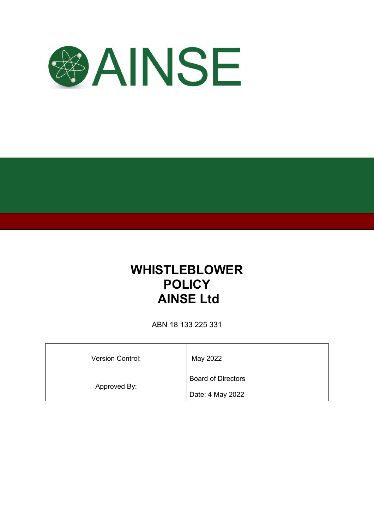

# **WHISTLEBLOWER POLICY AINSE Ltd**

ABN 18 133 225 331

| <b>Version Control:</b> | May 2022                  |
|-------------------------|---------------------------|
| Approved By:            | <b>Board of Directors</b> |
|                         | Date: 4 May 2022          |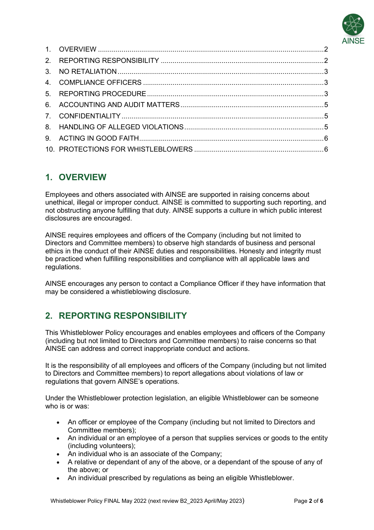

## **1. OVERVIEW**

Employees and others associated with AINSE are supported in raising concerns about unethical, illegal or improper conduct. AINSE is committed to supporting such reporting, and not obstructing anyone fulfilling that duty. AINSE supports a culture in which public interest disclosures are encouraged.

AINSE requires employees and officers of the Company (including but not limited to Directors and Committee members) to observe high standards of business and personal ethics in the conduct of their AINSE duties and responsibilities. Honesty and integrity must be practiced when fulfilling responsibilities and compliance with all applicable laws and regulations.

AINSE encourages any person to contact a Compliance Officer if they have information that may be considered a whistleblowing disclosure.

## **2. REPORTING RESPONSIBILITY**

This Whistleblower Policy encourages and enables employees and officers of the Company (including but not limited to Directors and Committee members) to raise concerns so that AINSE can address and correct inappropriate conduct and actions.

It is the responsibility of all employees and officers of the Company (including but not limited to Directors and Committee members) to report allegations about violations of law or regulations that govern AINSE's operations.

Under the Whistleblower protection legislation, an eligible Whistleblower can be someone who is or was:

- An officer or employee of the Company (including but not limited to Directors and Committee members);
- An individual or an employee of a person that supplies services or goods to the entity (including volunteers);
- An individual who is an associate of the Company;
- A relative or dependant of any of the above, or a dependant of the spouse of any of the above; or
- An individual prescribed by regulations as being an eligible Whistleblower.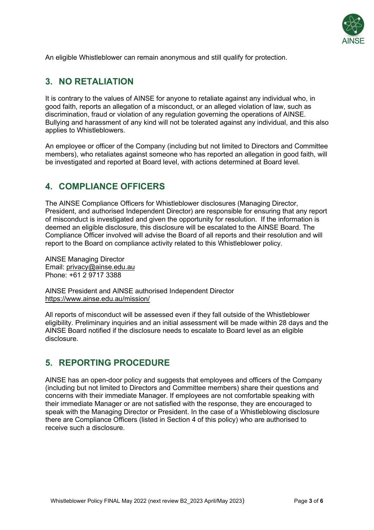

An eligible Whistleblower can remain anonymous and still qualify for protection.

## **3. NO RETALIATION**

It is contrary to the values of AINSE for anyone to retaliate against any individual who, in good faith, reports an allegation of a misconduct, or an alleged violation of law, such as discrimination, fraud or violation of any regulation governing the operations of AINSE. Bullying and harassment of any kind will not be tolerated against any individual, and this also applies to Whistleblowers.

An employee or officer of the Company (including but not limited to Directors and Committee members), who retaliates against someone who has reported an allegation in good faith, will be investigated and reported at Board level, with actions determined at Board level.

## **4. COMPLIANCE OFFICERS**

The AINSE Compliance Officers for Whistleblower disclosures (Managing Director, President, and authorised Independent Director) are responsible for ensuring that any report of misconduct is investigated and given the opportunity for resolution. If the information is deemed an eligible disclosure, this disclosure will be escalated to the AINSE Board. The Compliance Officer involved will advise the Board of all reports and their resolution and will report to the Board on compliance activity related to this Whistleblower policy.

AINSE Managing Director Email: [privacy@ainse.edu.au](mailto:privacy@ainse.edu.au) Phone: +61 2 9717 3388

AINSE President and AINSE authorised Independent Director <https://www.ainse.edu.au/mission/>

All reports of misconduct will be assessed even if they fall outside of the Whistleblower eligibility. Preliminary inquiries and an initial assessment will be made within 28 days and the AINSE Board notified if the disclosure needs to escalate to Board level as an eligible disclosure.

### **5. REPORTING PROCEDURE**

AINSE has an open-door policy and suggests that employees and officers of the Company (including but not limited to Directors and Committee members) share their questions and concerns with their immediate Manager. If employees are not comfortable speaking with their immediate Manager or are not satisfied with the response, they are encouraged to speak with the Managing Director or President. In the case of a Whistleblowing disclosure there are Compliance Officers (listed in Section 4 of this policy) who are authorised to receive such a disclosure.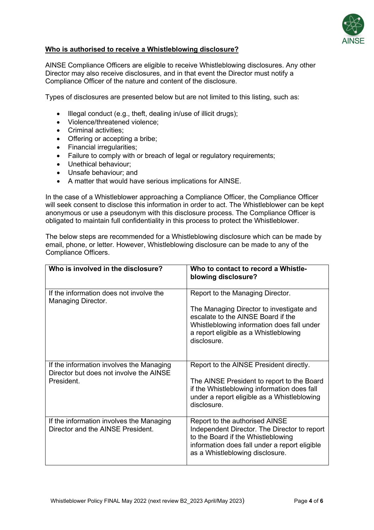

#### **Who is authorised to receive a Whistleblowing disclosure?**

AINSE Compliance Officers are eligible to receive Whistleblowing disclosures. Any other Director may also receive disclosures, and in that event the Director must notify a Compliance Officer of the nature and content of the disclosure.

Types of disclosures are presented below but are not limited to this listing, such as:

- Illegal conduct (e.g., theft, dealing in/use of illicit drugs);
- Violence/threatened violence;
- Criminal activities;
- Offering or accepting a bribe;
- Financial irregularities;
- Failure to comply with or breach of legal or regulatory requirements;
- Unethical behaviour;
- Unsafe behaviour; and
- A matter that would have serious implications for AINSE.

In the case of a Whistleblower approaching a Compliance Officer, the Compliance Officer will seek consent to disclose this information in order to act. The Whistleblower can be kept anonymous or use a pseudonym with this disclosure process. The Compliance Officer is obligated to maintain full confidentiality in this process to protect the Whistleblower.

The below steps are recommended for a Whistleblowing disclosure which can be made by email, phone, or letter. However, Whistleblowing disclosure can be made to any of the Compliance Officers.

| Who is involved in the disclosure?                                                                | Who to contact to record a Whistle-<br>blowing disclosure?                                                                                                                                                               |
|---------------------------------------------------------------------------------------------------|--------------------------------------------------------------------------------------------------------------------------------------------------------------------------------------------------------------------------|
| If the information does not involve the<br>Managing Director.                                     | Report to the Managing Director.<br>The Managing Director to investigate and<br>escalate to the AINSE Board if the<br>Whistleblowing information does fall under<br>a report eligible as a Whistleblowing<br>disclosure. |
| If the information involves the Managing<br>Director but does not involve the AINSE<br>President. | Report to the AINSE President directly.<br>The AINSE President to report to the Board<br>if the Whistleblowing information does fall<br>under a report eligible as a Whistleblowing<br>disclosure.                       |
| If the information involves the Managing<br>Director and the AINSE President.                     | Report to the authorised AINSE<br>Independent Director. The Director to report<br>to the Board if the Whistleblowing<br>information does fall under a report eligible<br>as a Whistleblowing disclosure.                 |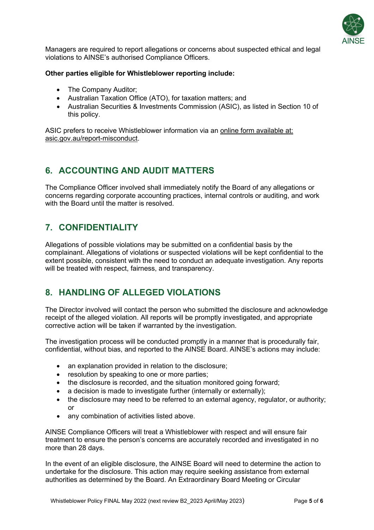

Managers are required to report allegations or concerns about suspected ethical and legal violations to AINSE's authorised Compliance Officers.

#### **Other parties eligible for Whistleblower reporting include:**

- The Company Auditor;
- Australian Taxation Office (ATO), for taxation matters; and
- Australian Securities & Investments Commission (ASIC), as listed in Section 10 of this policy.

ASIC prefers to receive Whistleblower information via an online form [available](https://asic.gov.au/report-misconduct) at: [asic.gov.au/report-misconduct.](https://asic.gov.au/report-misconduct)

## **6. ACCOUNTING AND AUDIT MATTERS**

The Compliance Officer involved shall immediately notify the Board of any allegations or concerns regarding corporate accounting practices, internal controls or auditing, and work with the Board until the matter is resolved.

## **7. CONFIDENTIALITY**

Allegations of possible violations may be submitted on a confidential basis by the complainant. Allegations of violations or suspected violations will be kept confidential to the extent possible, consistent with the need to conduct an adequate investigation. Any reports will be treated with respect, fairness, and transparency.

## **8. HANDLING OF ALLEGED VIOLATIONS**

The Director involved will contact the person who submitted the disclosure and acknowledge receipt of the alleged violation. All reports will be promptly investigated, and appropriate corrective action will be taken if warranted by the investigation.

The investigation process will be conducted promptly in a manner that is procedurally fair, confidential, without bias, and reported to the AINSE Board. AINSE's actions may include:

- an explanation provided in relation to the disclosure;
- resolution by speaking to one or more parties;
- the disclosure is recorded, and the situation monitored going forward;
- a decision is made to investigate further (internally or externally);
- the disclosure may need to be referred to an external agency, regulator, or authority; or
- any combination of activities listed above.

AINSE Compliance Officers will treat a Whistleblower with respect and will ensure fair treatment to ensure the person's concerns are accurately recorded and investigated in no more than 28 days.

In the event of an eligible disclosure, the AINSE Board will need to determine the action to undertake for the disclosure. This action may require seeking assistance from external authorities as determined by the Board. An Extraordinary Board Meeting or Circular